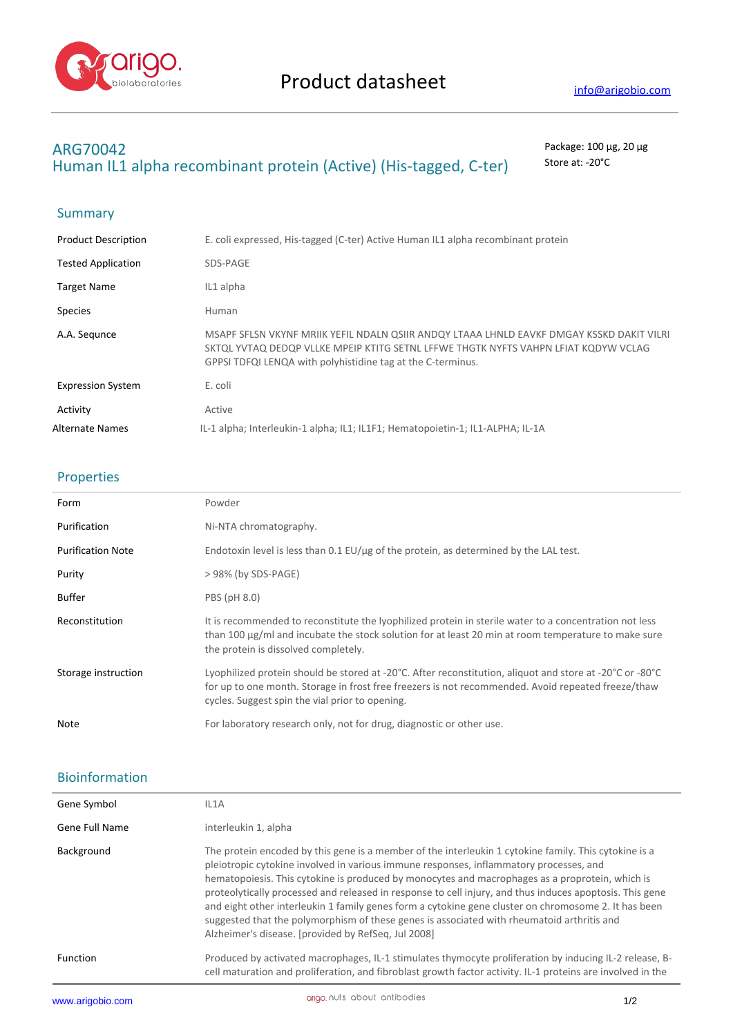

## **ARG70042** Package: 100 μg, 20 μg Human IL1 alpha recombinant protein (Active) (His-tagged, C-ter) Store at: -20°C

## Summary

| <b>Product Description</b> | E. coli expressed, His-tagged (C-ter) Active Human IL1 alpha recombinant protein                                                                                                                                                                |
|----------------------------|-------------------------------------------------------------------------------------------------------------------------------------------------------------------------------------------------------------------------------------------------|
| <b>Tested Application</b>  | SDS-PAGE                                                                                                                                                                                                                                        |
| <b>Target Name</b>         | IL1 alpha                                                                                                                                                                                                                                       |
| <b>Species</b>             | <b>Human</b>                                                                                                                                                                                                                                    |
| A.A. Segunce               | MSAPF SFLSN VKYNF MRIIK YEFIL NDALN QSIIR ANDQY LTAAA LHNLD EAVKF DMGAY KSSKD DAKIT VILRI<br>SKTOL YVTAQ DEDQP VLLKE MPEIP KTITG SETNL LFFWE THGTK NYFTS VAHPN LFIAT KODYW VCLAG<br>GPPSI TDFQI LENQA with polyhistidine tag at the C-terminus. |
| <b>Expression System</b>   | E. coli                                                                                                                                                                                                                                         |
| Activity                   | Active                                                                                                                                                                                                                                          |
| Alternate Names            | IL-1 alpha; Interleukin-1 alpha; IL1; IL1F1; Hematopoietin-1; IL1-ALPHA; IL-1A                                                                                                                                                                  |

## Properties

| Form                     | Powder                                                                                                                                                                                                                                                            |
|--------------------------|-------------------------------------------------------------------------------------------------------------------------------------------------------------------------------------------------------------------------------------------------------------------|
| Purification             | Ni-NTA chromatography.                                                                                                                                                                                                                                            |
| <b>Purification Note</b> | Endotoxin level is less than $0.1$ EU/ $\mu$ g of the protein, as determined by the LAL test.                                                                                                                                                                     |
| Purity                   | $> 98\%$ (by SDS-PAGE)                                                                                                                                                                                                                                            |
| <b>Buffer</b>            | PBS (pH 8.0)                                                                                                                                                                                                                                                      |
| Reconstitution           | It is recommended to reconstitute the lyophilized protein in sterile water to a concentration not less<br>than 100 $\mu$ g/ml and incubate the stock solution for at least 20 min at room temperature to make sure<br>the protein is dissolved completely.        |
| Storage instruction      | Lyophilized protein should be stored at -20°C. After reconstitution, aliquot and store at -20°C or -80°C<br>for up to one month. Storage in frost free freezers is not recommended. Avoid repeated freeze/thaw<br>cycles. Suggest spin the vial prior to opening. |
| Note                     | For laboratory research only, not for drug, diagnostic or other use.                                                                                                                                                                                              |
|                          |                                                                                                                                                                                                                                                                   |

## Bioinformation

| Gene Symbol     | IL1A                                                                                                                                                                                                                                                                                                                                                                                                                                                                                                                                                                                                                                                                        |
|-----------------|-----------------------------------------------------------------------------------------------------------------------------------------------------------------------------------------------------------------------------------------------------------------------------------------------------------------------------------------------------------------------------------------------------------------------------------------------------------------------------------------------------------------------------------------------------------------------------------------------------------------------------------------------------------------------------|
| Gene Full Name  | interleukin 1, alpha                                                                                                                                                                                                                                                                                                                                                                                                                                                                                                                                                                                                                                                        |
| Background      | The protein encoded by this gene is a member of the interleukin 1 cytokine family. This cytokine is a<br>pleiotropic cytokine involved in various immune responses, inflammatory processes, and<br>hematopoiesis. This cytokine is produced by monocytes and macrophages as a proprotein, which is<br>proteolytically processed and released in response to cell injury, and thus induces apoptosis. This gene<br>and eight other interleukin 1 family genes form a cytokine gene cluster on chromosome 2. It has been<br>suggested that the polymorphism of these genes is associated with rheumatoid arthritis and<br>Alzheimer's disease. [provided by RefSeg, Jul 2008] |
| <b>Function</b> | Produced by activated macrophages, IL-1 stimulates thymocyte proliferation by inducing IL-2 release, B-<br>cell maturation and proliferation, and fibroblast growth factor activity. IL-1 proteins are involved in the                                                                                                                                                                                                                                                                                                                                                                                                                                                      |
|                 |                                                                                                                                                                                                                                                                                                                                                                                                                                                                                                                                                                                                                                                                             |